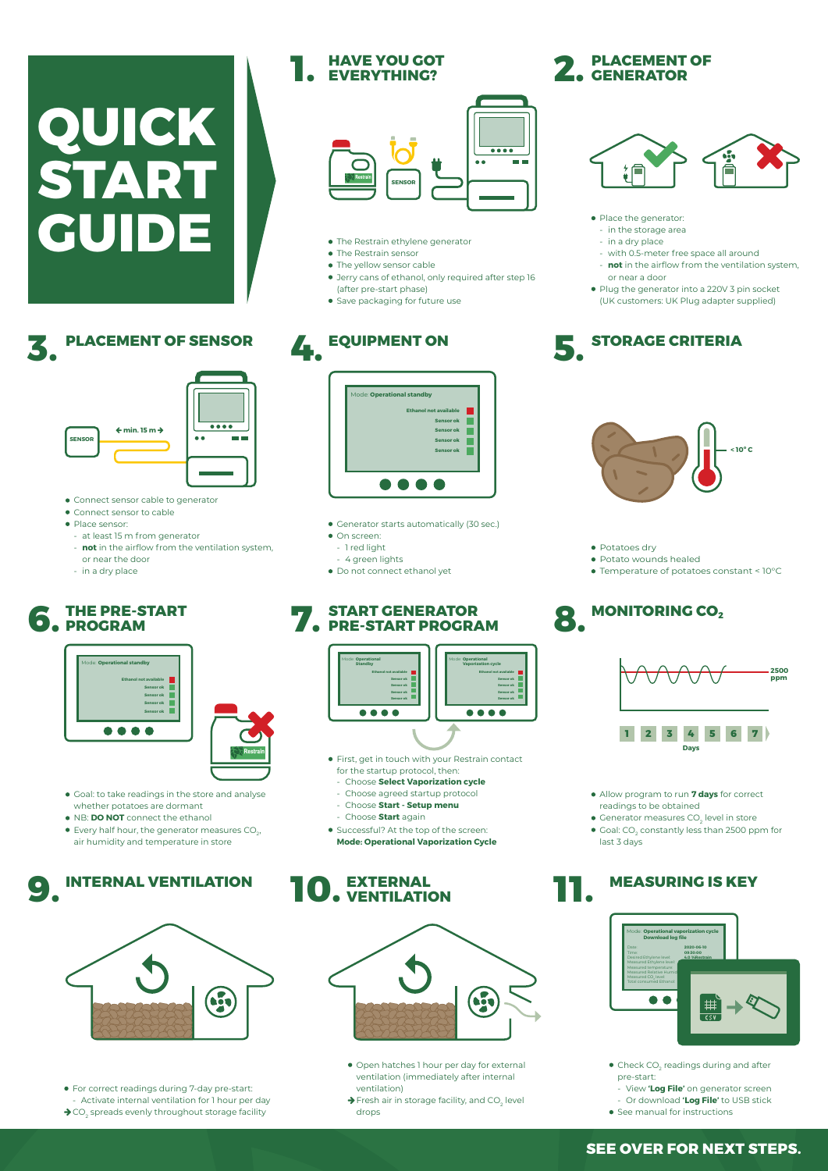#### **THE PRE-START 6. FROGRAM 7.**

#### **START GENERATOR PRE-START PROGRAM**

#### **PLACEMENT OF 2.** CENERATOR





**STORAGE CRITERIA**

- The Restrain ethylene generator
- The Restrain sensor

**PLACE GUIPMENT ON** 

- The yellow sensor cable
- Jerry cans of ethanol, only required after step 16 (after pre-start phase)
- **•** Save packaging for future use

#### **PLACEMENT OF SENSOR**

- Generator starts automatically (30 sec.)
- $\bullet$  On screen:
- 1 red light
- 4 green lights
- Do not connect ethanol yet
- Connect sensor cable to generator
- Connect sensor to cable
- Place sensor:
- at least 15 m from generator
- **not** in the airflow from the ventilation system, or near the door
- in a dry place

For correct readings during 7-day pre-start: - Activate internal ventilation for 1 hour per day  $\blacklozenge$  CO<sub>2</sub> spreads evenly throughout storage facility



- Place the generator:
	- in the storage area
	- in a dry place

- First, get in touch with your Restrain contact for the startup protocol, then:
	- Choose **Select Vaporization cycle**
	- Choose agreed startup protocol
	- Choose **Start Setup menu**
- Choose **Start** again
- **•** Successful? At the top of the screen: **Mode: Operational Vaporization Cycle**
- Potatoes dry
- Potato wounds healed
- Temperature of potatoes constant < 10°C

#### **HAVE YOU GOT EVERYTHING? 1.**

- Goal: to take readings in the store and analyse whether potatoes are dormant
- NB: **DO NOT** connect the ethanol
- $\bullet$  Every half hour, the generator measures CO<sub>2</sub>, air humidity and temperature in store



#### Mode: **Operational standby Ethanol not available Sensor ok Sensor ok Sensor ok Sensor ok DESCRIPTION**











- Open hatches 1 hour per day for external ventilation (immediately after internal ventilation)
- $\blacktriangleright$  Fresh air in storage facility, and CO $_2$  level drops

- with 0.5-meter free space all around
- **not** in the airflow from the ventilation system, or near a door
- Plug the generator into a 220V 3 pin socket (UK customers: UK Plug adapter supplied)

- Allow program to run **7 days** for correct readings to be obtained
- Generator measures CO $_{\textrm{2}}$  level in store
- $\cdot$  Goal: CO $_{2}$  constantly less than 2500 ppm for last 3 days

# **QUICK START GUIDE**

**5.**

#### **SEE OVER FOR NEXT STEPS.**







- Check CO $_{\textrm{\tiny{2}}}$  readings during and after pre-start:
	- View **'Log File'** on generator screen
	- Or download **'Log File'** to USB stick
- **•** See manual for instructions